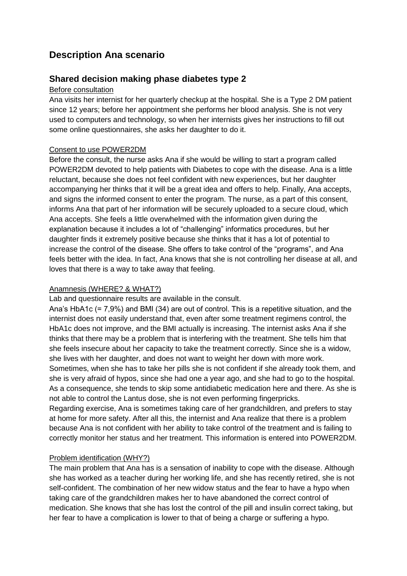# **Description Ana scenario**

## **Shared decision making phase diabetes type 2**

### Before consultation

Ana visits her internist for her quarterly checkup at the hospital. She is a Type 2 DM patient since 12 years; before her appointment she performs her blood analysis. She is not very used to computers and technology, so when her internists gives her instructions to fill out some online questionnaires, she asks her daughter to do it.

#### Consent to use POWER2DM

Before the consult, the nurse asks Ana if she would be willing to start a program called POWER2DM devoted to help patients with Diabetes to cope with the disease. Ana is a little reluctant, because she does not feel confident with new experiences, but her daughter accompanying her thinks that it will be a great idea and offers to help. Finally, Ana accepts, and signs the informed consent to enter the program. The nurse, as a part of this consent, informs Ana that part of her information will be securely uploaded to a secure cloud, which Ana accepts. She feels a little overwhelmed with the information given during the explanation because it includes a lot of "challenging" informatics procedures, but her daughter finds it extremely positive because she thinks that it has a lot of potential to increase the control of the disease. She offers to take control of the "programs", and Ana feels better with the idea. In fact, Ana knows that she is not controlling her disease at all, and loves that there is a way to take away that feeling.

#### Anamnesis (WHERE? & WHAT?)

Lab and questionnaire results are available in the consult.

Ana's HbA1c (= 7,9%) and BMI (34) are out of control. This is a repetitive situation, and the internist does not easily understand that, even after some treatment regimens control, the HbA1c does not improve, and the BMI actually is increasing. The internist asks Ana if she thinks that there may be a problem that is interfering with the treatment. She tells him that she feels insecure about her capacity to take the treatment correctly. Since she is a widow, she lives with her daughter, and does not want to weight her down with more work. Sometimes, when she has to take her pills she is not confident if she already took them, and she is very afraid of hypos, since she had one a year ago, and she had to go to the hospital. As a consequence, she tends to skip some antidiabetic medication here and there. As she is not able to control the Lantus dose, she is not even performing fingerpricks.

Regarding exercise, Ana is sometimes taking care of her grandchildren, and prefers to stay at home for more safety. After all this, the internist and Ana realize that there is a problem because Ana is not confident with her ability to take control of the treatment and is failing to correctly monitor her status and her treatment. This information is entered into POWER2DM.

## Problem identification (WHY?)

The main problem that Ana has is a sensation of inability to cope with the disease. Although she has worked as a teacher during her working life, and she has recently retired, she is not self-confident. The combination of her new widow status and the fear to have a hypo when taking care of the grandchildren makes her to have abandoned the correct control of medication. She knows that she has lost the control of the pill and insulin correct taking, but her fear to have a complication is lower to that of being a charge or suffering a hypo.